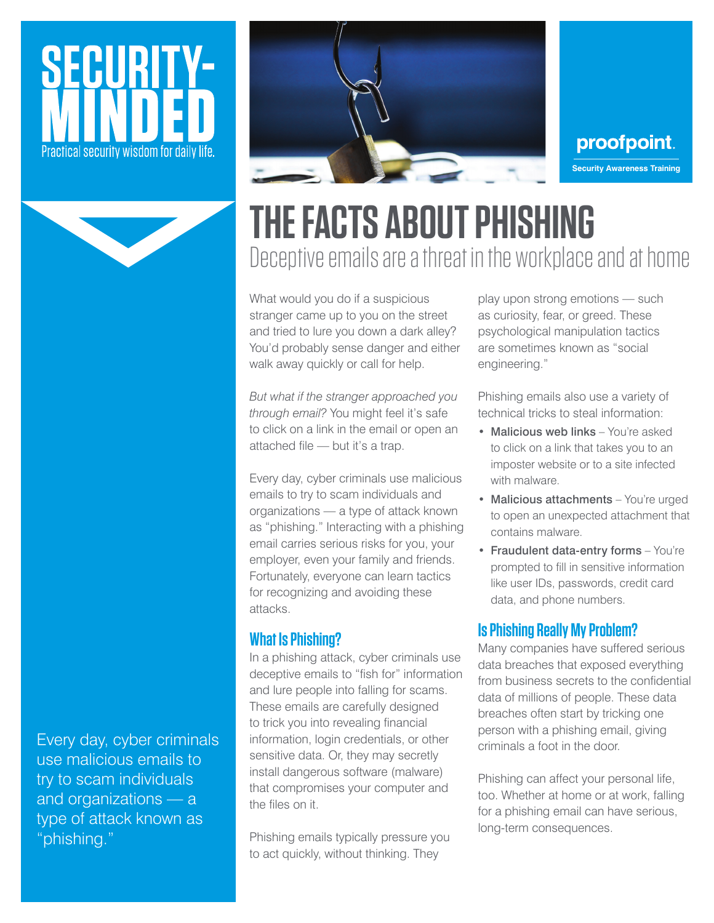# ECURL Practical security wisdom for daily life.



proofpoint. **Security Awareness Training**

## **THE FACTS ABOUT PHISHING**  Deceptive emails are a threat in the workplace and at home

What would you do if a suspicious stranger came up to you on the street and tried to lure you down a dark alley? You'd probably sense danger and either walk away quickly or call for help.

*But what if the stranger approached you through email?* You might feel it's safe to click on a link in the email or open an attached file — but it's a trap.

Every day, cyber criminals use malicious emails to try to scam individuals and organizations — a type of attack known as "phishing." Interacting with a phishing email carries serious risks for you, your employer, even your family and friends. Fortunately, everyone can learn tactics for recognizing and avoiding these attacks.

#### **What Is Phishing?**

In a phishing attack, cyber criminals use deceptive emails to "fish for" information and lure people into falling for scams. These emails are carefully designed to trick you into revealing financial information, login credentials, or other sensitive data. Or, they may secretly install dangerous software (malware) that compromises your computer and the files on it.

Phishing emails typically pressure you to act quickly, without thinking. They

play upon strong emotions — such as curiosity, fear, or greed. These psychological manipulation tactics are sometimes known as "social engineering."

Phishing emails also use a variety of technical tricks to steal information:

- Malicious web links You're asked to click on a link that takes you to an imposter website or to a site infected with malware.
- Malicious attachments You're urged to open an unexpected attachment that contains malware.
- Fraudulent data-entry forms You're prompted to fill in sensitive information like user IDs, passwords, credit card data, and phone numbers.

#### **Is Phishing Really My Problem?**

Many companies have suffered serious data breaches that exposed everything from business secrets to the confidential data of millions of people. These data breaches often start by tricking one person with a phishing email, giving criminals a foot in the door.

Phishing can affect your personal life, too. Whether at home or at work, falling for a phishing email can have serious, long-term consequences.

Every day, cyber criminals use malicious emails to try to scam individuals and organizations — a type of attack known as "phishing."